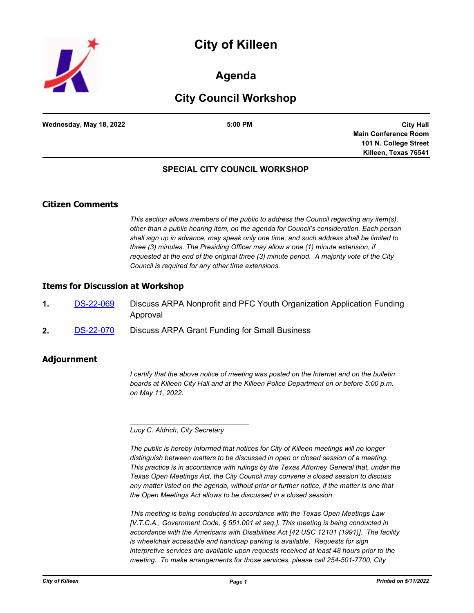



# **Agenda**

# **City Council Workshop**

| Wednesday, May 18, 2022 | 5:00 PM |
|-------------------------|---------|
|                         |         |

**City Hall Main Conference Room 101 N. College Street Killeen, Texas 76541**

## **SPECIAL CITY COUNCIL WORKSHOP**

## **Citizen Comments**

*This section allows members of the public to address the Council regarding any item(s), other than a public hearing item, on the agenda for Council's consideration. Each person shall sign up in advance, may speak only one time, and such address shall be limited to three (3) minutes. The Presiding Officer may allow a one (1) minute extension, if requested at the end of the original three (3) minute period. A majority vote of the City Council is required for any other time extensions.*

#### **Items for Discussion at Workshop**

- **1.** [DS-22-069](http://killeen.legistar.com/gateway.aspx?m=l&id=/matter.aspx?key=6147) Discuss ARPA Nonprofit and PFC Youth Organization Application Funding Approval
- **2.** [DS-22-070](http://killeen.legistar.com/gateway.aspx?m=l&id=/matter.aspx?key=6146) Discuss ARPA Grant Funding for Small Business

### **Adjournment**

*I certify that the above notice of meeting was posted on the Internet and on the bulletin boards at Killeen City Hall and at the Killeen Police Department on or before 5:00 p.m. on May 11, 2022.*

*Lucy C. Aldrich, City Secretary* 

*\_\_\_\_\_\_\_\_\_\_\_\_\_\_\_\_\_\_\_\_\_\_\_\_\_\_\_\_\_\_\_*

*The public is hereby informed that notices for City of Killeen meetings will no longer distinguish between matters to be discussed in open or closed session of a meeting. This practice is in accordance with rulings by the Texas Attorney General that, under the Texas Open Meetings Act, the City Council may convene a closed session to discuss any matter listed on the agenda, without prior or further notice, if the matter is one that the Open Meetings Act allows to be discussed in a closed session.*

*This meeting is being conducted in accordance with the Texas Open Meetings Law [V.T.C.A., Government Code, § 551.001 et seq.]. This meeting is being conducted in accordance with the Americans with Disabilities Act [42 USC 12101 (1991)]. The facility is wheelchair accessible and handicap parking is available. Requests for sign interpretive services are available upon requests received at least 48 hours prior to the meeting. To make arrangements for those services, please call 254-501-7700, City*